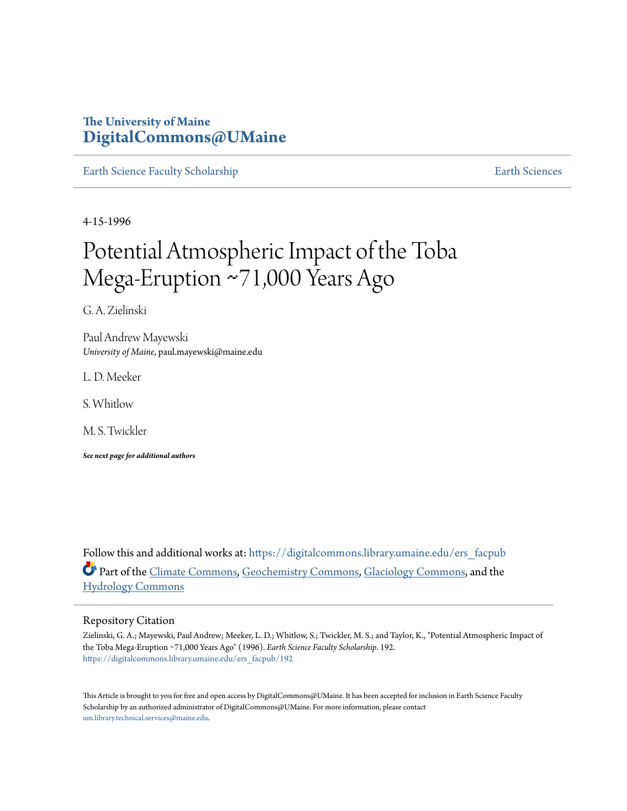# **The University of Maine [DigitalCommons@UMaine](https://digitalcommons.library.umaine.edu?utm_source=digitalcommons.library.umaine.edu%2Fers_facpub%2F192&utm_medium=PDF&utm_campaign=PDFCoverPages)**

[Earth Science Faculty Scholarship](https://digitalcommons.library.umaine.edu/ers_facpub?utm_source=digitalcommons.library.umaine.edu%2Fers_facpub%2F192&utm_medium=PDF&utm_campaign=PDFCoverPages) **[Earth Sciences](https://digitalcommons.library.umaine.edu/ers?utm_source=digitalcommons.library.umaine.edu%2Fers_facpub%2F192&utm_medium=PDF&utm_campaign=PDFCoverPages)** 

4-15-1996

# Potential Atmospheric Impact of the Toba Mega‐Eruption ∼71,000 Years Ago

G. A. Zielinski

Paul Andrew Mayewski *University of Maine*, paul.mayewski@maine.edu

L. D. Meeker

S. Whitlow

M. S. Twickler

*See next page for additional authors*

Follow this and additional works at: [https://digitalcommons.library.umaine.edu/ers\\_facpub](https://digitalcommons.library.umaine.edu/ers_facpub?utm_source=digitalcommons.library.umaine.edu%2Fers_facpub%2F192&utm_medium=PDF&utm_campaign=PDFCoverPages) Part of the [Climate Commons,](http://network.bepress.com/hgg/discipline/188?utm_source=digitalcommons.library.umaine.edu%2Fers_facpub%2F192&utm_medium=PDF&utm_campaign=PDFCoverPages) [Geochemistry Commons,](http://network.bepress.com/hgg/discipline/157?utm_source=digitalcommons.library.umaine.edu%2Fers_facpub%2F192&utm_medium=PDF&utm_campaign=PDFCoverPages) [Glaciology Commons](http://network.bepress.com/hgg/discipline/159?utm_source=digitalcommons.library.umaine.edu%2Fers_facpub%2F192&utm_medium=PDF&utm_campaign=PDFCoverPages), and the [Hydrology Commons](http://network.bepress.com/hgg/discipline/1054?utm_source=digitalcommons.library.umaine.edu%2Fers_facpub%2F192&utm_medium=PDF&utm_campaign=PDFCoverPages)

#### Repository Citation

Zielinski, G. A.; Mayewski, Paul Andrew; Meeker, L. D.; Whitlow, S.; Twickler, M. S.; and Taylor, K., "Potential Atmospheric Impact of the Toba Mega‐Eruption ∼71,000 Years Ago" (1996). *Earth Science Faculty Scholarship*. 192. [https://digitalcommons.library.umaine.edu/ers\\_facpub/192](https://digitalcommons.library.umaine.edu/ers_facpub/192?utm_source=digitalcommons.library.umaine.edu%2Fers_facpub%2F192&utm_medium=PDF&utm_campaign=PDFCoverPages)

This Article is brought to you for free and open access by DigitalCommons@UMaine. It has been accepted for inclusion in Earth Science Faculty Scholarship by an authorized administrator of DigitalCommons@UMaine. For more information, please contact [um.library.technical.services@maine.edu](mailto:um.library.technical.services@maine.edu).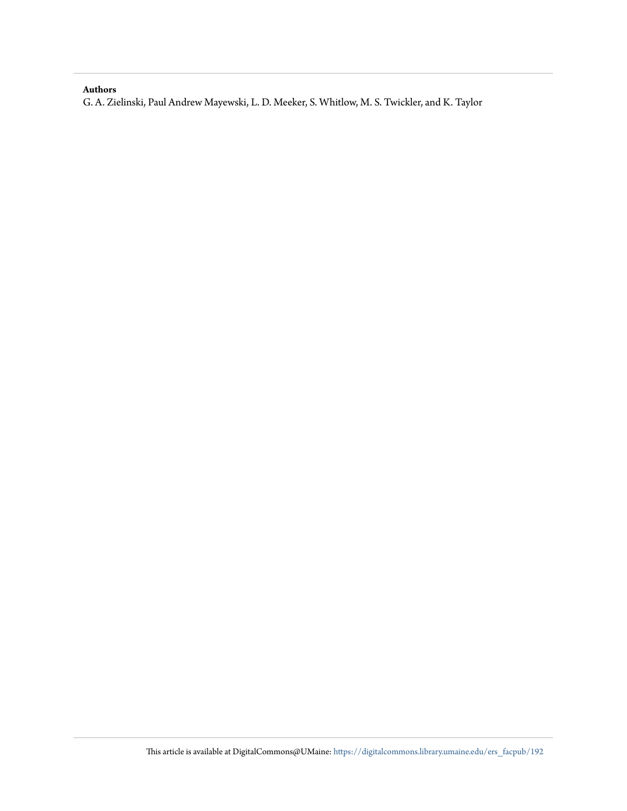## **Authors**

G. A. Zielinski, Paul Andrew Mayewski, L. D. Meeker, S. Whitlow, M. S. Twickler, and K. Taylor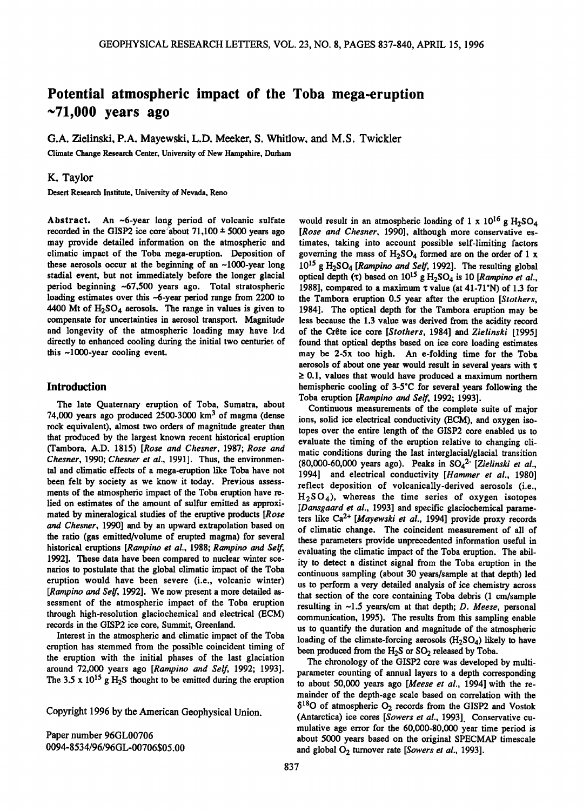# **Potential atmospheric impact of the Toba mega-eruption ~71,000 years ago**

**G.A. Zielinski, P.A. Mayewski, L.D. Meeker, S. Whitlow, and M.S. Twickler** 

**Climate Change Research Center, University of New Hampshire, Durham** 

## **K. Taylor**

**Desert Research Institute, University of Nevada, Reno** 

**Abstract. An ~6-year long period of volcanic sulfate**  recorded in the GISP2 ice core about  $71,100 \pm 5000$  years ago **may provide detailed information on the atmospheric and climatic impact of the Toba mega-eruption. Deposition of these aerosols occur at the beginning of an ~1000-year long stadial event, but not immediately before the longer glacial period beginning ~67,500 years ago. Total stratospheric loading estimates over this ~6-year period range from 2200 to 4400 Mt of H2SO4 aerosols. The range in values is given to compensate for uncertainties in aerosol transport. Magnitude and longevity of the atmospheric loading may have l•.d**  directly to enhanced cooling during the initial two centuries of **this ~1000-year cooling event.** 

#### **Introduction**

**The late Quaternary eruption of Toba, Sumatra, about 74,000 years ago produced 2500-3000 km 3 of magma (dense rock equivalent), almost two orders of magnitude greater than that produced by the largest known recent historical eruption (Tambora, A.D. 1815) [Rose and Chesner, 1987; Rose and Chesner, 1990; Chesner et al., 1991]. Thus, the environmental and climatic effects of a mega-eruption like Toba have not been felt by society as we know it today. Previous assessments of the atmospheric impact of the Toba eruption have relied on estimates of the amount of sulfur emitted as approximated by mineralogical studies of the eruptive products [Rose and Chesner, 1990] and by an upward extrapolation based on the ratio (gas emitted/volume of erupted magma) for several historical eruptions [Rampino et al., 1988; Rampino and Self, 1992]. These data have been compared to nuclear winter scenarios to postulate that the global climatic impact of the Toba eruption would have been severe (i.e., volcanic winter) [Rampino and Self, 1992]. We now present a more detailed assessment of the atmospheric impact of the Toba eruption through high-resolution glaciochemical and electrical (ECM) records in the GISP2 ice core, Summit, Greenland.** 

**Interest in the atmospheric and climatic impact of the Toba eruption has stemmed from the possible coincident timing of the eruption with the initial phases of the last glaciation around 72,000 years ago [Rampino and Self, 1992; 1993].**  The 3.5 x  $10^{15}$  g H<sub>2</sub>S thought to be emitted during the eruption

**Copyright 1996 by the American Geophysical Union.** 

**Paper number 96GL00706 0094-853 4/96/96GL-00706505.00** 

would result in an atmospheric loading of  $1 \times 10^{16}$  g  $H_2SO_4$ **[Rose and Chesner, 1990], although more conservative estimates, taking into account possible self-limiting factors**  governing the mass of  $H_2SO_4$  formed are on the order of 1 x **1015 gH2SO4 [Rampino and Self, 1992]. The resulting global**  optical depth ( $\tau$ ) based on 10<sup>15</sup> g  $H_2SO_4$  is 10 [Rampino et al., 1988], compared to a maximum  $\tau$  value (at 41-71°N) of 1.3 for **the Tambora eruption 0.5 year after the eruption [Stothers, 1984]. The optical depth for the Tambora eruption may be less because the 1.3 value was derived from the acidity record**  of the Crête ice core [Stothers, 1984] and Zielinski [1995] **found that optical depths based on ice core loading estimates may be 2-5x too high. An e-folding time for the Toba aerosols of about one year would result in several years with x > 0.1, values that would have produced a maximum northern**  hemispheric cooling of 3-5°C for several years following the **Toba eruption [Rampino and Self, 1992; 1993].** 

Continuous measurements of the complete suite of major **ions, solid ice electrical conductivity (ECM), and oxygen isotopes over the entire length of the GISP2 core enabled us to evaluate the timing of the eruption relative to changing climatic conditions during the last interglacial/glacial transition (80,000-60,000 years ago). Peaks in SO42' [Zielinski et al., 1994] and electrical conductivity [Hammer et al., 1980] reflect deposition of volcanically-derived aerosols (i.e., H2SO4), whereas the time series of oxygen isotopes [Dansgaard et al., 1993] and specific glaciochemical parame**ters like Ca<sup>2+</sup> [Mayewski et al., 1994] provide proxy records **of climatic change. The coincident measurement of all of these parameters provide unprecedented information useful in evaluating the climatic impact of the Toba eruption. The ability to detect a distinct signal from the Toba eruption in the**  continuous sampling (about 30 years/sample at that depth) led **us to perform a very detailed analysis of ice chemistry across that section of the core containing Toba debris (1 cm/sample resulting in ~1.5 years/cm at that depth; D. Meese, personal communication, 1995). The results from this sampling enable us to quantify the duration and magnitude of the atmospheric**  loading of the climate-forcing aerosols (H<sub>2</sub>SO<sub>4</sub>) likely to have been produced from the H<sub>2</sub>S or SO<sub>2</sub> released by Toba.

**The chronology of the GISP2 core was developed by multiparameter counting of annual layers to a depth corresponding to about 50,000 years ago [Meese et al., 1994] with the remainder of the depth-age scale based on correlation with the •180 of atmospheric 02 records from the GISP2 and Vostok (Antarctica) ice cores [Sowers et al., 1993]. Conservative cumulative age error for the 60,000-80,000 year time period is about 5000 years based on the original SPECMAP timescale**  and global O<sub>2</sub> turnover rate [Sowers et al., 1993].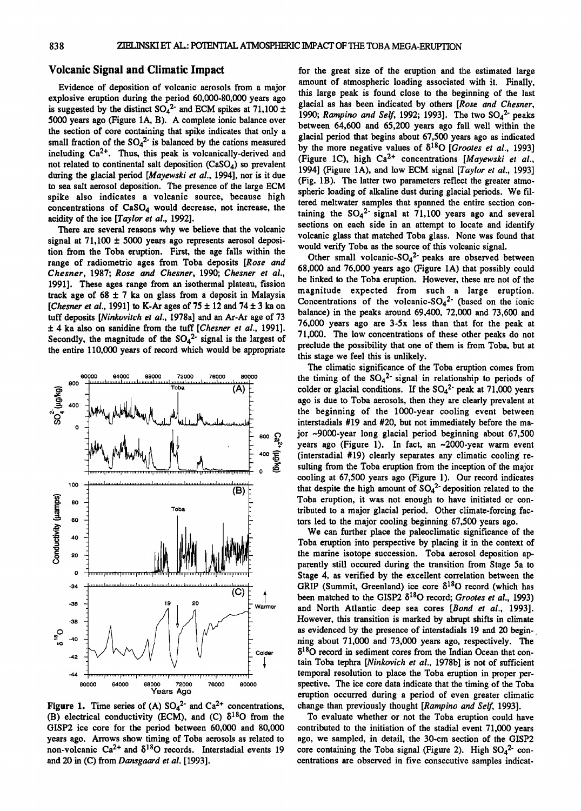#### **Volcanic Signal and Climatic Impact**

**Evidence of deposition of volcanic aerosols from a major explosive eruption during the period 60,000-80,000 years ago**  is suggested by the distinct  $SO_4^2$  and ECM spikes at  $71,100 \pm 1$ **5000 years ago (Figure 1A, B). A complete ionic balance over the section of core containing that spike indicates that only a**  small fraction of the  $SO_4^2$ <sup>-</sup> is balanced by the cations measured including Ca<sup>2+</sup>. Thus, this peak is volcanically-derived and **not related to continental salt deposition (CaSO4) so prevalent**  during the glacial period [*Mayewski et al.*, 1994], nor is it due **to sea salt aerosol deposition. The presence of the large ECM spike also indicates a volcanic source, because high**  concentrations of CaSO<sub>4</sub> would decrease, not increase, the **acidity of the ice [Taylor et al., 1992].** 

**There are several reasons why we believe that the volcanic**  signal at  $71,100 \pm 5000$  years ago represents aerosol deposi**tion from the Toba eruption. First, the age falls within the range of radiometric ages from Toba deposits [Rose and Chesner, 1987; Rose and Chesner, 1990; Chesner et al., 1991]. These ages range from an isothermal plateau, fission**  track age of  $68 \pm 7$  ka on glass from a deposit in Malaysia **[Chesner et al., 1991] to K-Ar ages of 75**  $\pm$  **12 and 74**  $\pm$  **3 ka on tuff deposits [Ninlcovitch et al., 1978a] and an Ar-Ar age of 73**   $\pm$  4 ka also on sanidine from the tuff [Chesner et al., 1991]. Secondly, the magnitude of the  $SO_4^2$  signal is the largest of **the entire 110,000 years of record which would be appropriate** 



**Figure 1.** Time series of (A)  $SO_4^2$  and  $Ca^{2+}$  concentrations, **(B) electrical conductivity (ECM), and (C)**  $\delta^{18}$ **O from the GISP2 ice core for the period between 60,000 and 80,000 years ago. Arrows show timing of Toba aerosols as related to**  non-volcanic  $Ca^{2+}$  and  $\delta^{18}O$  records. Interstadial events 19 **and 20 in (C) from Dansgaard et al. [1993].** 

**for the great size of the eruption and the estimated large amount of atmospheric loading associated with it. Finally, this large peak is found close to the beginning of the last glacial as has been indicated by others [Rose and Chesner,**  1990; Rampino and Self, 1992; 1993]. The two SO<sub>4</sub><sup>2</sup> peaks **between 64,600 and 65,200 years ago fall well within the glacial period that begins about 67,500 years ago as indicated**  by the more negative values of  $\delta^{18}O$  [*Grootes et al.*, 1993] (Figure 1C), high Ca<sup>2+</sup> concentrations [Mayewski et al., **1994] (Figure 1A), and low ECM signal [Taylor et al., 1993] (Fig. lB). The latter two parameters reflect the greater atmospheric loading of alkaline dust during glacial periods. We filtered meltwater samples that spanned the entire section con**taining the  $SO_4^2$  signal at 71,100 years ago and several **sections on each side in an attempt to locate and identify volcanic glass that matched Toba glass. None was found that would verify Toba as the source of this volcanic signal.** 

Other small volcanic-SO<sub>4</sub><sup>2</sup> peaks are observed between **68,000 and 76,000 years ago (Figure 1A) that possibly could be linked to the Toba eruption. However, these are not of the magnitude expected from such a large eruption. Concentrations of the volcanic-SO42' (based on the ionic balance) in the peaks around 69,400, 72,000 and 73,600 and 76,000 years ago are 3-5x less than that for the peak at 71,000. The low concentrations of these other peaks do not preclude the possibility that one of them is from Toba, but at this stage we feel this is unlikely.** 

**The climatic significance of the Toba eruption comes from**  the timing of the  $SO_4^2$  signal in relationship to periods of **colder or glacial conditions. If the SO42' peak at 71,000 years ago is due to Toba aerosols, then they are clearly prevalent at the beginning of the 1000-year cooling event between interstadials #19 and #20, but not immediately before the major ~9000-year long glacial period beginning about 67,500 years ago (Figure 1). In fact, an ~2000-year warm event (interstadial #19) clearly separates any climatic cooling resulting from the Toba eruption from the inception of the major cooling at 67,500 years ago (Figure 1). Our record indicates**  that despite the high amount of  $SO_4^2$ <sup>-</sup> deposition related to the **Toba eruption, it was not enough to have initiated or contributed to a major glacial period. Other climate-forcing factors led to the major cooling beginning 67,500 years ago.** 

**We can further place the palcoclimatic significance of the Toba eruption into perspective by placing it in the context of the marine isotope succession. Toba aerosol deposition apparently still occured during the transition from Stage 5a to Stage 4, as verified by the excellent correlation between the**   $GRIP$  (Summit, Greenland) ice core  $\delta^{18}O$  record (which has been matched to the GISP2  $\delta^{18}$ O record; Grootes et al., 1993) **and North Atlantic deep sea cores [Bond et al., 1993]. However, this transition is marked by abrupt shifts in climate as evidenced by the presence of interstadials 19 and 20 beginning about 71,000 and 73,000 years ago, respectively. The 15180 record in sediment cores from the Indian Ocean that contain Toba tephra [Ninkovich et al., 1978b] is not of sufficient temporal resolution to place the Toba eruption in proper perspective. The ice core data indicate that the timing of the Toba eruption occurred during a period of even greater climatic change than previously thought [Rampino and Self, 1993].** 

**To evaluate whether or not the Toba eruption could have contributed to the initiation of the stadial event 71,000 years ago, we sampled, in detail, the 30-cm section of the GISP2**  core containing the Toba signal (Figure 2). High  $SO_4^2$  con**centrations are observed in five consecutive samples indicat-**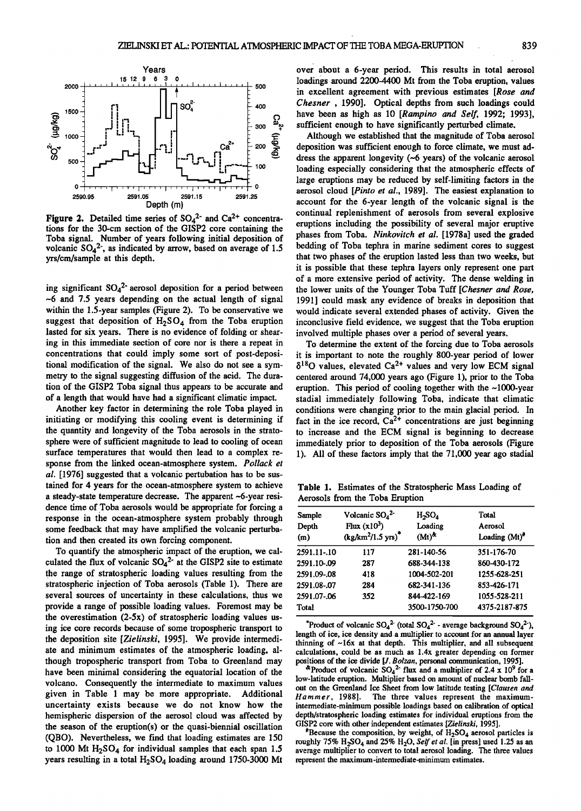

**Figure 2.** Detailed time series of  $SO_4^2$  and  $Ca^{2+}$  concentra**tions for the 30-cm section of the GISP2 core containing the Toba signal. Number of years following initial deposition of volcanic SO42', as indicated by arrow, based on average of 1.5 yrs/cm/sample at this depth.** 

**ing significant SO4 2' aerosol deposition for a period between ~6 and 7.5 years depending on the actual length of signal within the 1.5-year samples (Figure 2). To be conservative we**  suggest that deposition of  $H_2SO_4$  from the Toba eruption **lasted for six years. There is no evidence of folding or shearing in this immediate section of core nor is there a repeat in concentrations that could imply some sort of post-depositional modification of the signal. We also do not see a symmetry to the signal suggesting diffusion of the acid. The duration of the GISP2 Toba signal thus appears to be accurate and of a length that would have had a significant climatic impact.** 

**Another key factor in determining the role Toba played in initiating or modifying this cooling event is determining if the quantity and longevity of the Toba aerosols in the stratosphere were of sufficient magnitude to lead to cooling of ocean surface temperatures that would then lead to a complex response from the linked ocean-atmosphere system. Pollack et al. [1976] suggested that a volcanic pertubation has to be sustained for 4 years for the ocean-atmosphere system to achieve a steady-state temperature decrease. The apparent ~6-year residence time of Toba aerosols would be appropriate for forcing a response in the ocean-atmosphere system probably through some feedback that may have amplified the volcanic perturbation and then created its own forcing component.** 

**To quantify the atmospheric impact of the eruption, we calculated the flux of volcanic SO42' at the GISP2 site to estimate the range of stratospheric loading values resulting from the stratospheric injection of Toba aerosols (Table 1). There are several sources of uncertainty in these calculations, thus we provide a range of possible loading values. Foremost may be the overestimation (2-5x) of stratospheric loading values using ice core records because of some tropospheric transport to the deposition site [Zielinski, 1995]. We provide intermediate and minimum estimates of the atmospheric loading, although tropospheric transport from Toba to Greenland may have been minimal considering the equatorial location of the volcano. Consequently the intermediate to maximum values given in Table 1 may be more appropriate. Additional uncertainty exists because we do not know how the hemispheric dispersion of the aerosol cloud was affected by the season of the eruption(s) or the quasi-biennial oscillation (QBO). Nevertheless, we find that loading estimates are 150**  to 1000 Mt H<sub>2</sub>SO<sub>4</sub> for individual samples that each span 1.5 years resulting in a total H<sub>2</sub>SO<sub>4</sub> loading around 1750-3000 Mt

**over about a 6-year period. This results in total aerosol loadings around 2200-4400 Mt from the Toba eruption, values in excellent agreement with previous estimates [Rose and Chesner , 1990]. Optical depths from such loadings could have been as high as 10 [Rarnpino and Self, 1992; 1993], sufficient enough to have significanfiy perturbed climate.** 

**Although we established that the magnitude of Toba aerosol deposition was sufficient enough to force climate, we must address the apparent longevity (~6 years) of the volcanic aerosol loading especially considering that the atmospheric effects of large eruptions may be reduced by self-limiting factors in the aerosol cloud [Pinto et al., 1989]. The easiest explanation to account for the 6-year length of the volcanic signal is the continual replenishment of aerosols from several explosive eruptions including the possibility of several major eruptive phases from Toba. Ninkovitch et al. [1978a] used the graded bedding of Toba tephra in marine sediment cores to suggest that two phases of the eruption lasted less than two weeks, but it is possible that these tephra layers only represent one part of a more extensive period of activity. The dense welding in the lower units of the Younger Toba Tuff [Chesner and Rose, 1991] could mask any evidence of breaks in deposition that would indicate several extended phases of activity. Given the**  inconclusive field evidence, we suggest that the Toba eruption **involved multiple phases over a period of several years.** 

**To determine the extent of the forcing due to Toba aerosols it is important to note the roughly 800-year period of lower**   $\delta^{18}$ O values, elevated Ca<sup>2+</sup> values and very low ECM signal **centered around 74,000 years ago (Figure 1), prior to the Toba eruption. This period of cooling together with the ~1000-year stadial immediately following Toba, indicate that climatic conditions were changing prior to the main glacial period. In**  fact in the ice record, Ca<sup>2+</sup> concentrations are just beginning **to increase and the ECM signal is beginning to decrease immediately prior to deposition of the Toba aerosols (Figure 1). All of these factors imply that the 71,000 year ago stadial** 

**Table 1. Estimates of the Stratospheric Mass Loading of Aerosols from the Toba Eruption** 

| Sample<br>Depth<br>(m) | Volcanic $SO_4^2$<br>Flux $(x10^3)$<br>$(kg/km^2/1.5 \text{ yrs})^*$ | $H_2SO_4$<br>Loading<br>$(Mt)^{k}$ | Total<br>Aerosol<br>Loading $(Mt)*$ |
|------------------------|----------------------------------------------------------------------|------------------------------------|-------------------------------------|
| 2591.11-.10            | 117                                                                  | 281-140-56                         | 351-176-70                          |
| 2591.10-.09            | 287                                                                  | 688-344-138                        | 860-430-172                         |
| 2591.09-.08            | 418                                                                  | 1004-502-201                       | 1255-628-251                        |
| 2591.08-.07            | 284                                                                  | 682-341-136                        | 853-426-171                         |
| 2591.07-.06            | 352                                                                  | 844-422-169                        | 1055-528-211                        |
| Total                  |                                                                      | 3500-1750-700                      | 4375-2187-875                       |
|                        |                                                                      |                                    |                                     |

\*Product of volcanic  $SO_4^2$  (total  $SO_4^2$  - average background  $SO_4^2$ ), **length of ice, ice density and a multiplier to account for an annual layer thinning of ~16x at that depth. This multiplier, and all subsequent calculations, could be as much as 1.4x greater depending on former positions of the ice divide [J. Bolzan, personal communication, 1995].** 

 $\alpha$ Product of volcanic SO<sub>4</sub><sup>2</sup> flux and a multiplier of 2.4 x 10<sup>9</sup> for a **low-latitude eruption. Multiplier based on amount of nuclear bomb fall**out on the Greenland Ice Sheet from low latitude testing [Clausen and *Hammer*, 1988]. The three values represent the maximum-The three values represent the maximumintermediate-minimum possible loadings based on calibration of optical **depth/stratospheric loading estimates for individual eruptions from the GISP2 core with other independent estimates [Zielinski, 1995].** 

\*Because the composition, by weight, of  $H_2SO_4$  aerosol particles is roughly  $75\%$  H<sub>2</sub>SO<sub>4</sub> and  $25\%$  H<sub>2</sub>O, Self et al. [in press] used 1.25 as an average multiplier to convert to total aerosol loading. The three values **represent the maximum-intermediate-minimum estimates.**